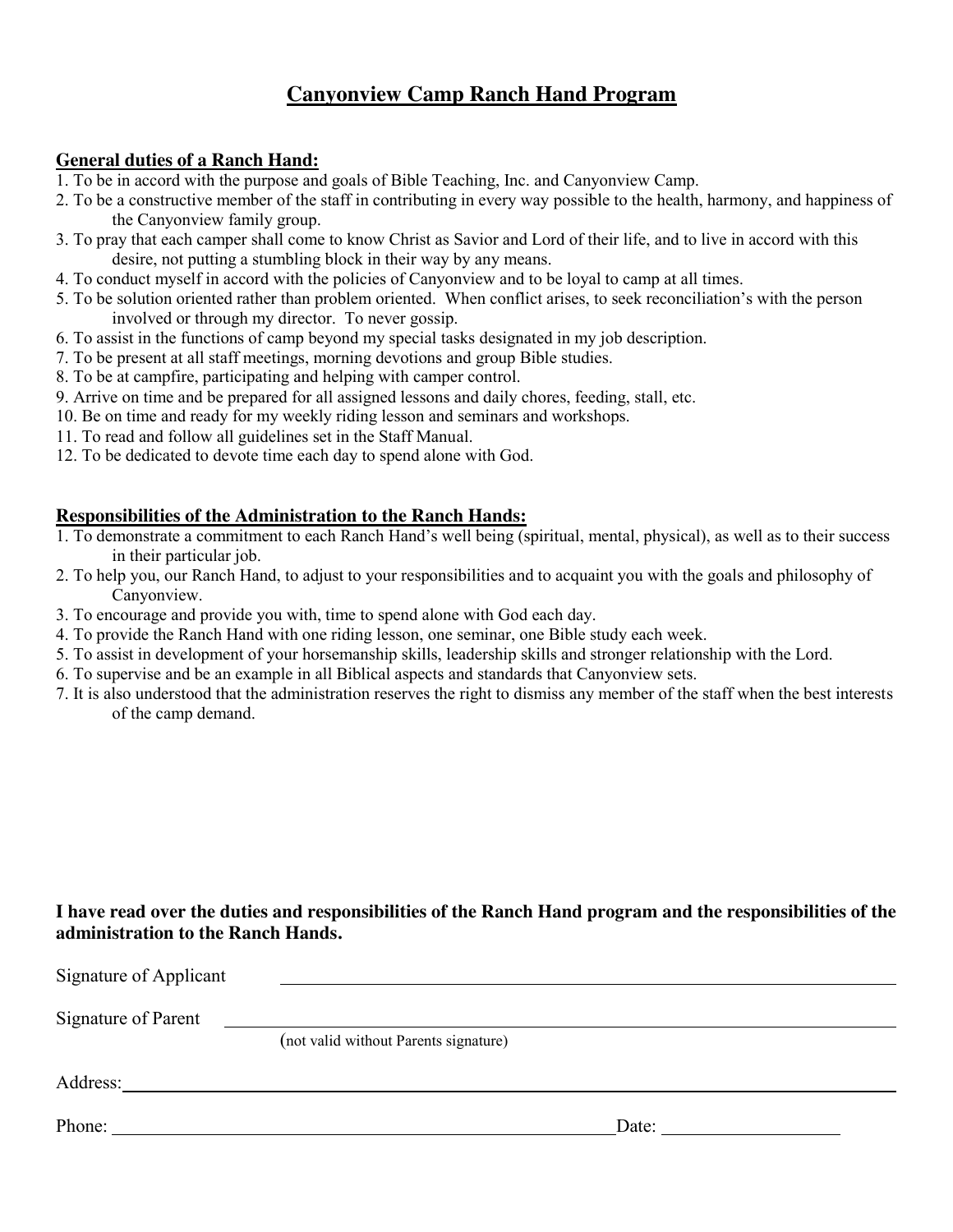## **Canyonview Camp Ranch Hand Program**

#### **General duties of a Ranch Hand:**

- 1. To be in accord with the purpose and goals of Bible Teaching, Inc. and Canyonview Camp.
- 2. To be a constructive member of the staff in contributing in every way possible to the health, harmony, and happiness of the Canyonview family group.
- 3. To pray that each camper shall come to know Christ as Savior and Lord of their life, and to live in accord with this desire, not putting a stumbling block in their way by any means.
- 4. To conduct myself in accord with the policies of Canyonview and to be loyal to camp at all times.
- 5. To be solution oriented rather than problem oriented. When conflict arises, to seek reconciliation's with the person involved or through my director. To never gossip.
- 6. To assist in the functions of camp beyond my special tasks designated in my job description.
- 7. To be present at all staff meetings, morning devotions and group Bible studies.
- 8. To be at campfire, participating and helping with camper control.
- 9. Arrive on time and be prepared for all assigned lessons and daily chores, feeding, stall, etc.
- 10. Be on time and ready for my weekly riding lesson and seminars and workshops.
- 11. To read and follow all guidelines set in the Staff Manual.
- 12. To be dedicated to devote time each day to spend alone with God.

#### **Responsibilities of the Administration to the Ranch Hands:**

- 1. To demonstrate a commitment to each Ranch Hand's well being (spiritual, mental, physical), as well as to their success in their particular job.
- 2. To help you, our Ranch Hand, to adjust to your responsibilities and to acquaint you with the goals and philosophy of Canyonview.
- 3. To encourage and provide you with, time to spend alone with God each day.
- 4. To provide the Ranch Hand with one riding lesson, one seminar, one Bible study each week.
- 5. To assist in development of your horsemanship skills, leadership skills and stronger relationship with the Lord.
- 6. To supervise and be an example in all Biblical aspects and standards that Canyonview sets.
- 7. It is also understood that the administration reserves the right to dismiss any member of the staff when the best interests of the camp demand.

#### **I have read over the duties and responsibilities of the Ranch Hand program and the responsibilities of the administration to the Ranch Hands.**

| Signature of Applicant |                                       |       |
|------------------------|---------------------------------------|-------|
| Signature of Parent    |                                       |       |
|                        | (not valid without Parents signature) |       |
| Address:               |                                       |       |
| Phone: $\qquad \qquad$ |                                       | Date: |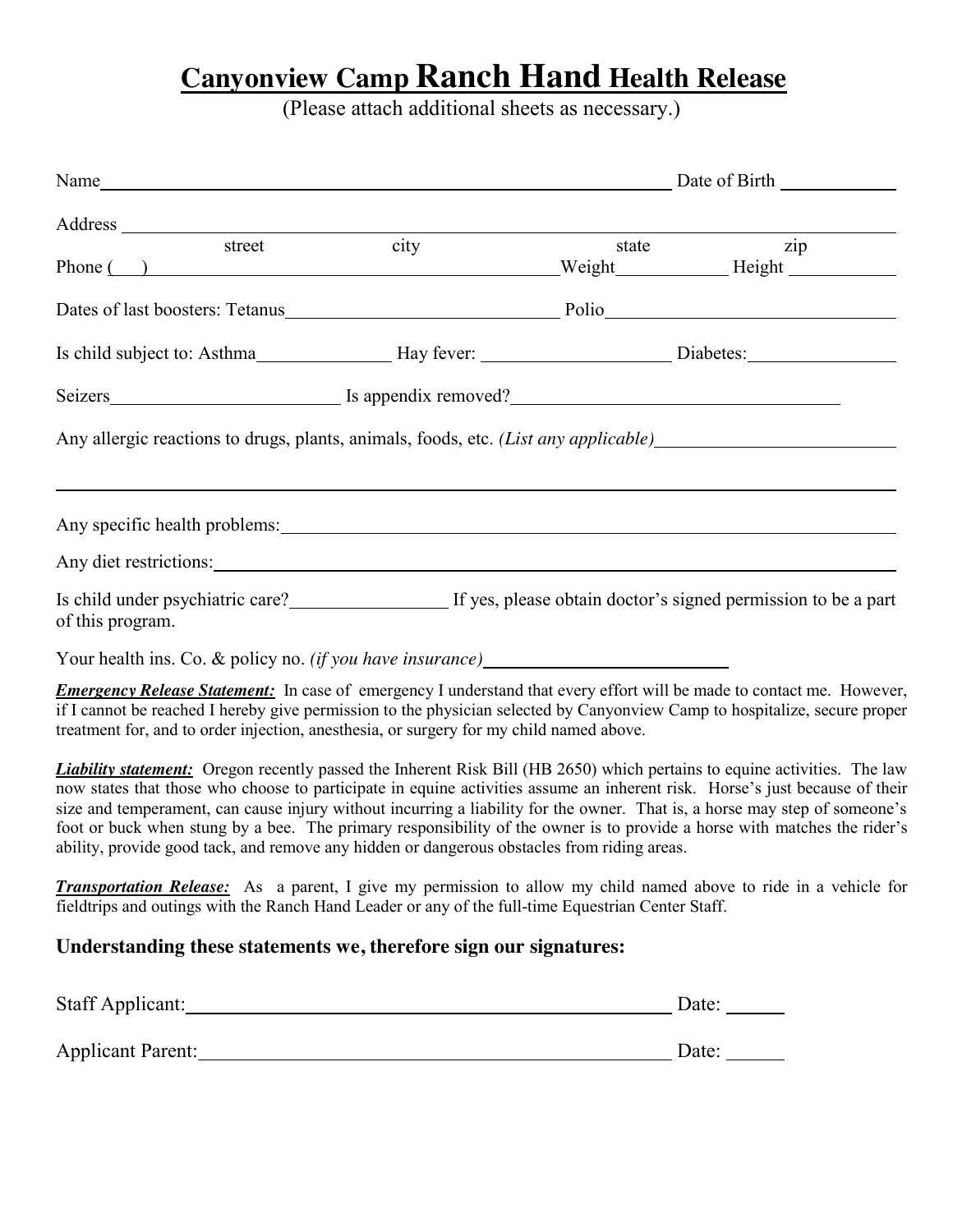# **Canyonview Camp Ranch Hand Health Release**

(Please attach additional sheets as necessary.)

|                                                                                                                                                                                                                                                                                                                                                                                                                                                                                                                                                                                                                          | Name<br>Date of Birth |  |                           |
|--------------------------------------------------------------------------------------------------------------------------------------------------------------------------------------------------------------------------------------------------------------------------------------------------------------------------------------------------------------------------------------------------------------------------------------------------------------------------------------------------------------------------------------------------------------------------------------------------------------------------|-----------------------|--|---------------------------|
|                                                                                                                                                                                                                                                                                                                                                                                                                                                                                                                                                                                                                          |                       |  |                           |
| street                                                                                                                                                                                                                                                                                                                                                                                                                                                                                                                                                                                                                   | city                  |  | $\overline{zip}$<br>state |
| Dates of last boosters: Tetanus Police Police Police Police Police Police Police Police Police Police Police Police Police Police Police Police Police Police Police Police Police Police Police Police Police Police Police P                                                                                                                                                                                                                                                                                                                                                                                           |                       |  |                           |
| Is child subject to: Asthma _____________________Hay fever: __________________________Diabetes: ______________________                                                                                                                                                                                                                                                                                                                                                                                                                                                                                                   |                       |  |                           |
|                                                                                                                                                                                                                                                                                                                                                                                                                                                                                                                                                                                                                          |                       |  |                           |
| Any allergic reactions to drugs, plants, animals, foods, etc. ( <i>List any applicable</i> ) <u>expression</u>                                                                                                                                                                                                                                                                                                                                                                                                                                                                                                           |                       |  |                           |
|                                                                                                                                                                                                                                                                                                                                                                                                                                                                                                                                                                                                                          |                       |  |                           |
|                                                                                                                                                                                                                                                                                                                                                                                                                                                                                                                                                                                                                          |                       |  |                           |
| Is child under psychiatric care?<br>If yes, please obtain doctor's signed permission to be a part<br>of this program.                                                                                                                                                                                                                                                                                                                                                                                                                                                                                                    |                       |  |                           |
| Your health ins. Co. & policy no. (if you have insurance)_______________________                                                                                                                                                                                                                                                                                                                                                                                                                                                                                                                                         |                       |  |                           |
| <b>Emergency Release Statement:</b> In case of emergency I understand that every effort will be made to contact me. However,<br>if I cannot be reached I hereby give permission to the physician selected by Canyonview Camp to hospitalize, secure proper<br>treatment for, and to order injection, anesthesia, or surgery for my child named above.                                                                                                                                                                                                                                                                    |                       |  |                           |
| <b>Liability statement:</b> Oregon recently passed the Inherent Risk Bill (HB 2650) which pertains to equine activities. The law<br>now states that those who choose to participate in equine activities assume an inherent risk. Horse's just because of their<br>size and temperament, can cause injury without incurring a liability for the owner. That is, a horse may step of someone's<br>foot or buck when stung by a bee. The primary responsibility of the owner is to provide a horse with matches the rider's<br>ability, provide good tack, and remove any hidden or dangerous obstacles from riding areas. |                       |  |                           |
| <b>Transportation Release:</b> As a parent, I give my permission to allow my child named above to ride in a vehicle for<br>fieldtrips and outings with the Ranch Hand Leader or any of the full-time Equestrian Center Staff.                                                                                                                                                                                                                                                                                                                                                                                            |                       |  |                           |
| Understanding these statements we, therefore sign our signatures:                                                                                                                                                                                                                                                                                                                                                                                                                                                                                                                                                        |                       |  |                           |
| Staff Applicant: Date: Date:                                                                                                                                                                                                                                                                                                                                                                                                                                                                                                                                                                                             |                       |  |                           |
| Applicant Parent: Date: Date:                                                                                                                                                                                                                                                                                                                                                                                                                                                                                                                                                                                            |                       |  |                           |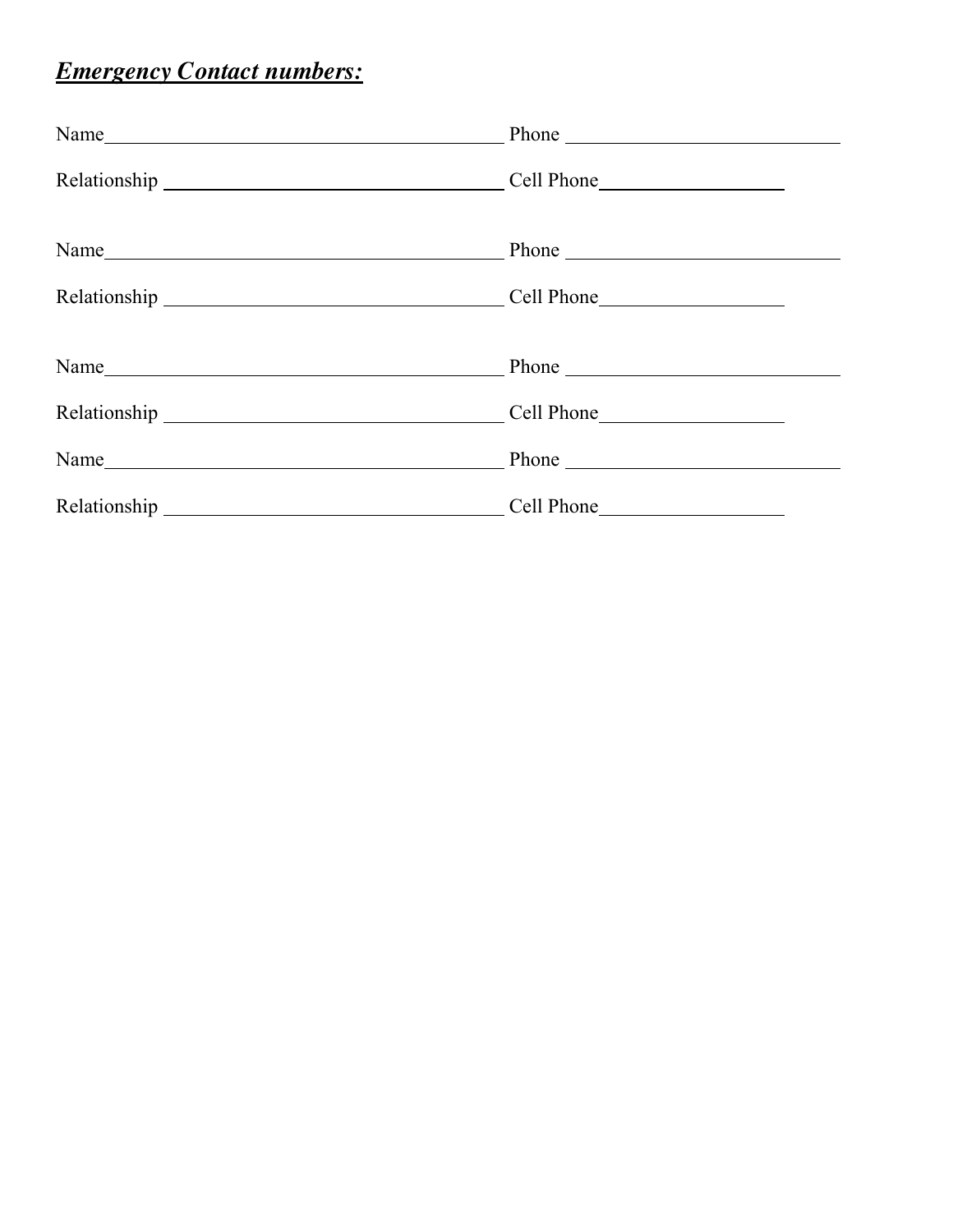# *Emergency Contact numbers:*

| Name Phone Phone |  |
|------------------|--|
|                  |  |
| Name             |  |
|                  |  |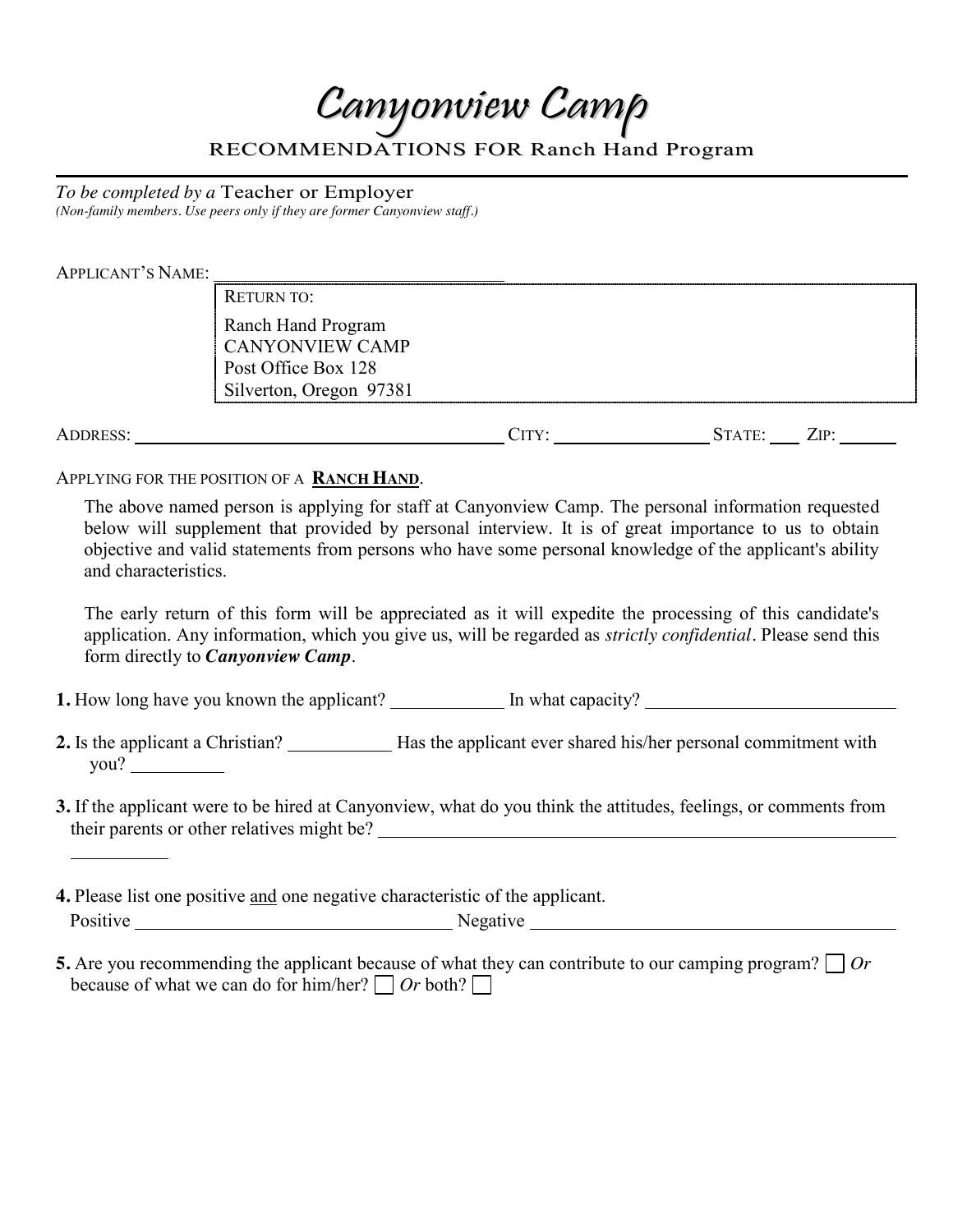Canyonview Camp

RECOMMENDATIONS FOR Ranch Hand Program

*To be completed by a* Teacher or Employer *(Non-family members. Use peers only if they are former Canyonview staff.)*

APPLICANT'S NAME:

RETURN TO: Ranch Hand Program CANYONVIEW CAMP Post Office Box 128 Silverton, Oregon 97381

ADDRESS: CITY: STATE: ZIP:

APPLYING FOR THE POSITION OF A **RANCH HAND**.

The above named person is applying for staff at Canyonview Camp. The personal information requested below will supplement that provided by personal interview. It is of great importance to us to obtain objective and valid statements from persons who have some personal knowledge of the applicant's ability and characteristics.

The early return of this form will be appreciated as it will expedite the processing of this candidate's application. Any information, which you give us, will be regarded as *strictly confidential.* Please send this form directly to *Canyonview Camp.*

**1.** How long have you known the applicant? In what capacity?

2. Is the applicant a Christian? Has the applicant ever shared his/her personal commitment with you?

- **3.** If the applicant were to be hired at Canyonview, what do you think the attitudes, feelings, or comments from their parents or other relatives might be?
- **4.** Please list one positive and one negative characteristic of the applicant. Positive Negative Negative Negative Negative Negative Negative Negative Negative Negative Negative Negative Negative Negative Negative Negative Negative Negative Negative Negative Negative Negative Negative Negative Negati

**5.** Are you recommending the applicant because of what they can contribute to our camping program? *Or* because of what we can do for him/her?  $\Box$  *Or* both?  $\Box$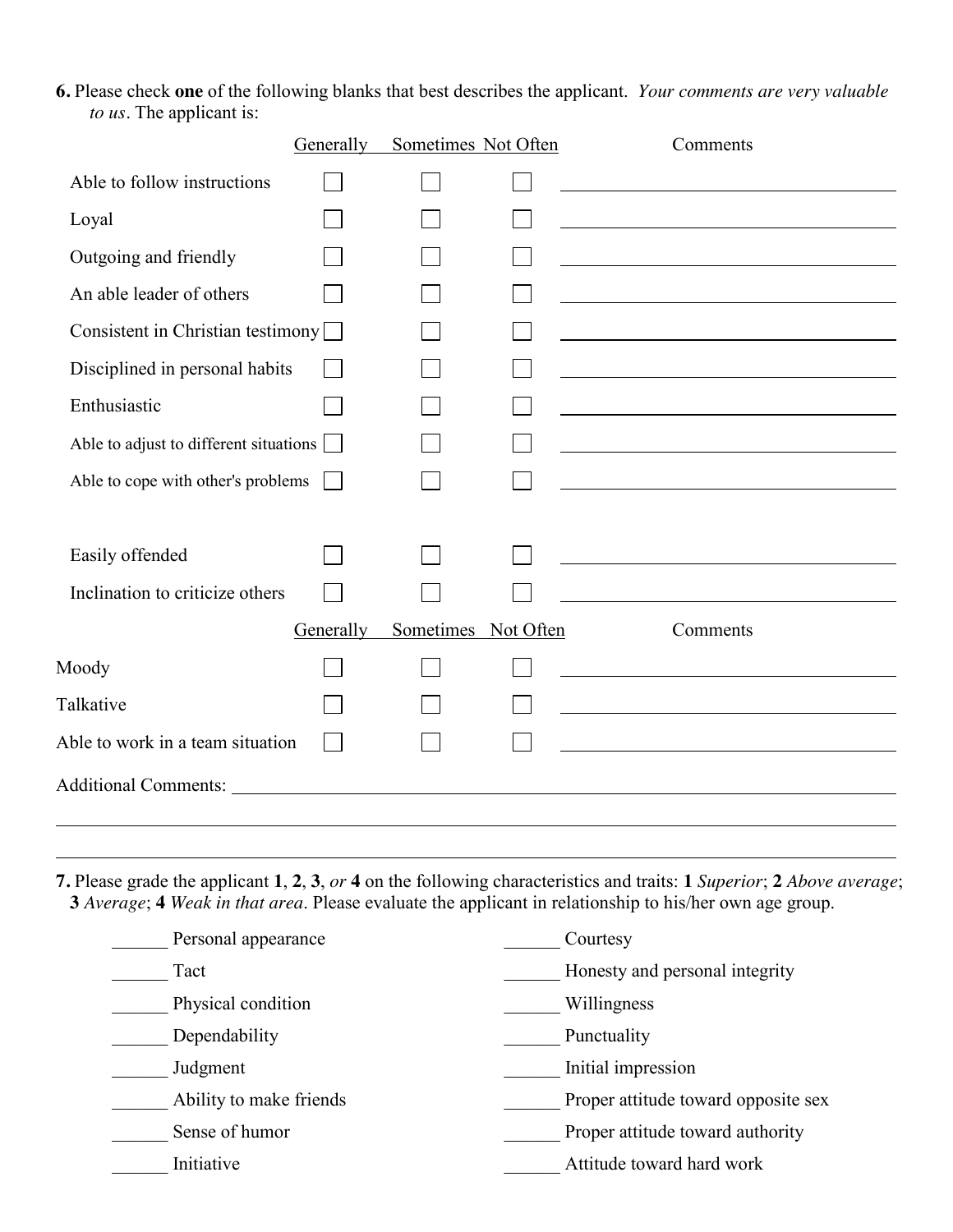**6.** Please check **one** of the following blanks that best describes the applicant. *Your comments are very valuable to us.* The applicant is:

|                                                 | Generally |  | Sometimes Not Often | Comments |
|-------------------------------------------------|-----------|--|---------------------|----------|
| Able to follow instructions                     |           |  |                     |          |
| Loyal                                           |           |  |                     |          |
| Outgoing and friendly                           |           |  |                     |          |
| An able leader of others                        |           |  |                     |          |
| Consistent in Christian testimony               |           |  |                     |          |
| Disciplined in personal habits                  |           |  |                     |          |
| Enthusiastic                                    |           |  |                     |          |
| Able to adjust to different situations          |           |  |                     |          |
| Able to cope with other's problems              |           |  |                     |          |
|                                                 |           |  |                     |          |
| Easily offended                                 |           |  |                     |          |
| Inclination to criticize others                 |           |  |                     |          |
| Sometimes<br>Not Often<br>Generally<br>Comments |           |  |                     |          |
| Moody                                           |           |  |                     |          |
| Talkative                                       |           |  |                     |          |
| Able to work in a team situation                |           |  |                     |          |
|                                                 |           |  |                     |          |
|                                                 |           |  |                     |          |

**7.** Please grade the applicant **1**, **2**, **3**, *or* **4** on the following characteristics and traits: **1** *Superior*; **2** *Above average*; **3** *Average*; **4** *Weak in that area*. Please evaluate the applicant in relationship to his/her own age group.

| Personal appearance     | Courtesy                            |
|-------------------------|-------------------------------------|
| Tact                    | Honesty and personal integrity      |
| Physical condition      | Willingness                         |
| Dependability           | Punctuality                         |
| Judgment                | Initial impression                  |
| Ability to make friends | Proper attitude toward opposite sex |
| Sense of humor          | Proper attitude toward authority    |
| Initiative              | Attitude toward hard work           |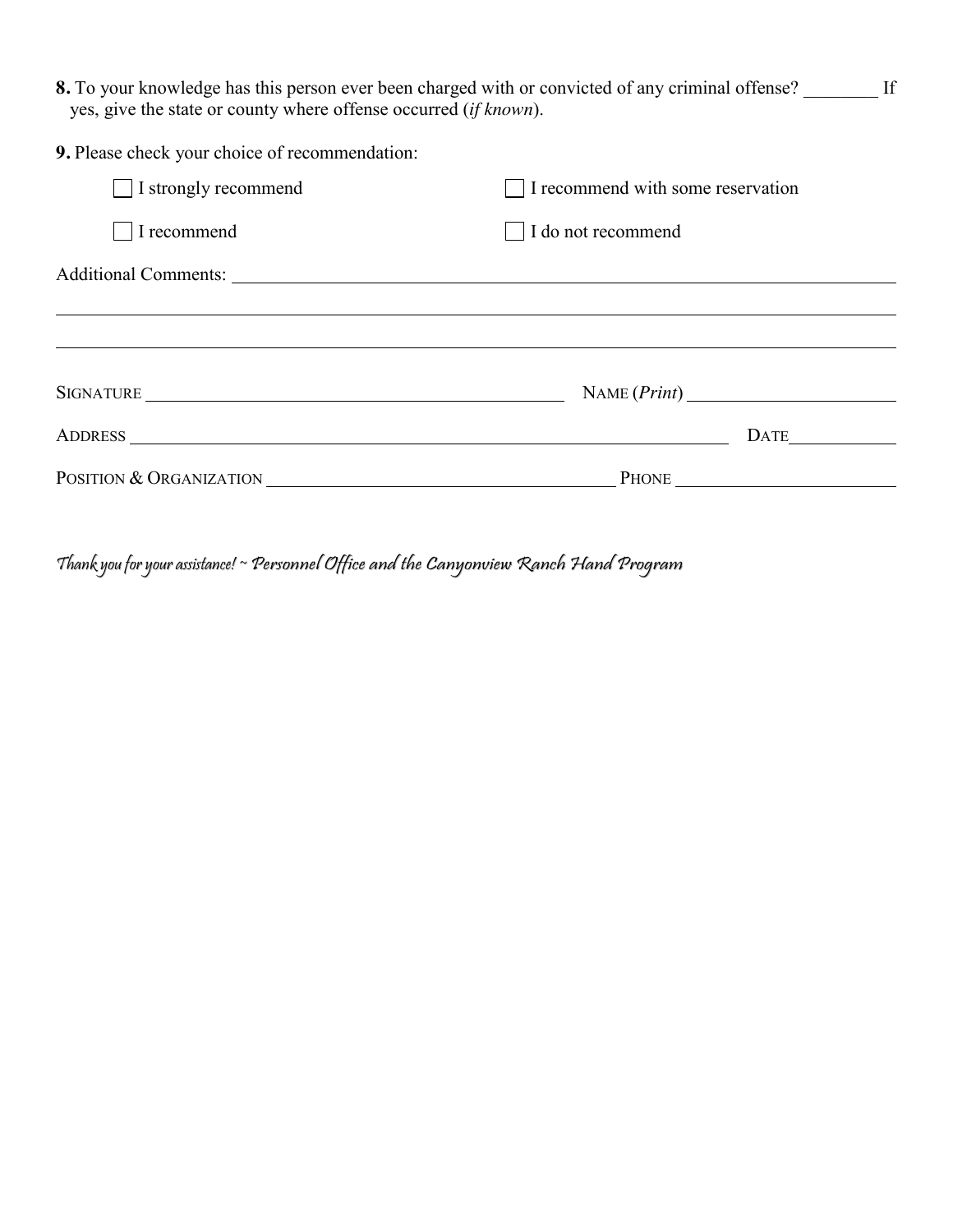8. To your knowledge has this person ever been charged with or convicted of any criminal offense? \_\_\_\_\_\_\_\_ If yes, give the state or county where offense occurred (*if known*).

| 9. Please check your choice of recommendation: |                                   |
|------------------------------------------------|-----------------------------------|
| I strongly recommend                           | I recommend with some reservation |
| I recommend                                    | I do not recommend                |
|                                                |                                   |
|                                                |                                   |
|                                                |                                   |
|                                                | NAME (Print)                      |
|                                                | <b>DATE</b>                       |
| POSITION & ORGANIZATION                        |                                   |

Thank you for your assistance! ~ Personnel Office and the Canyonview Ranch Hand Program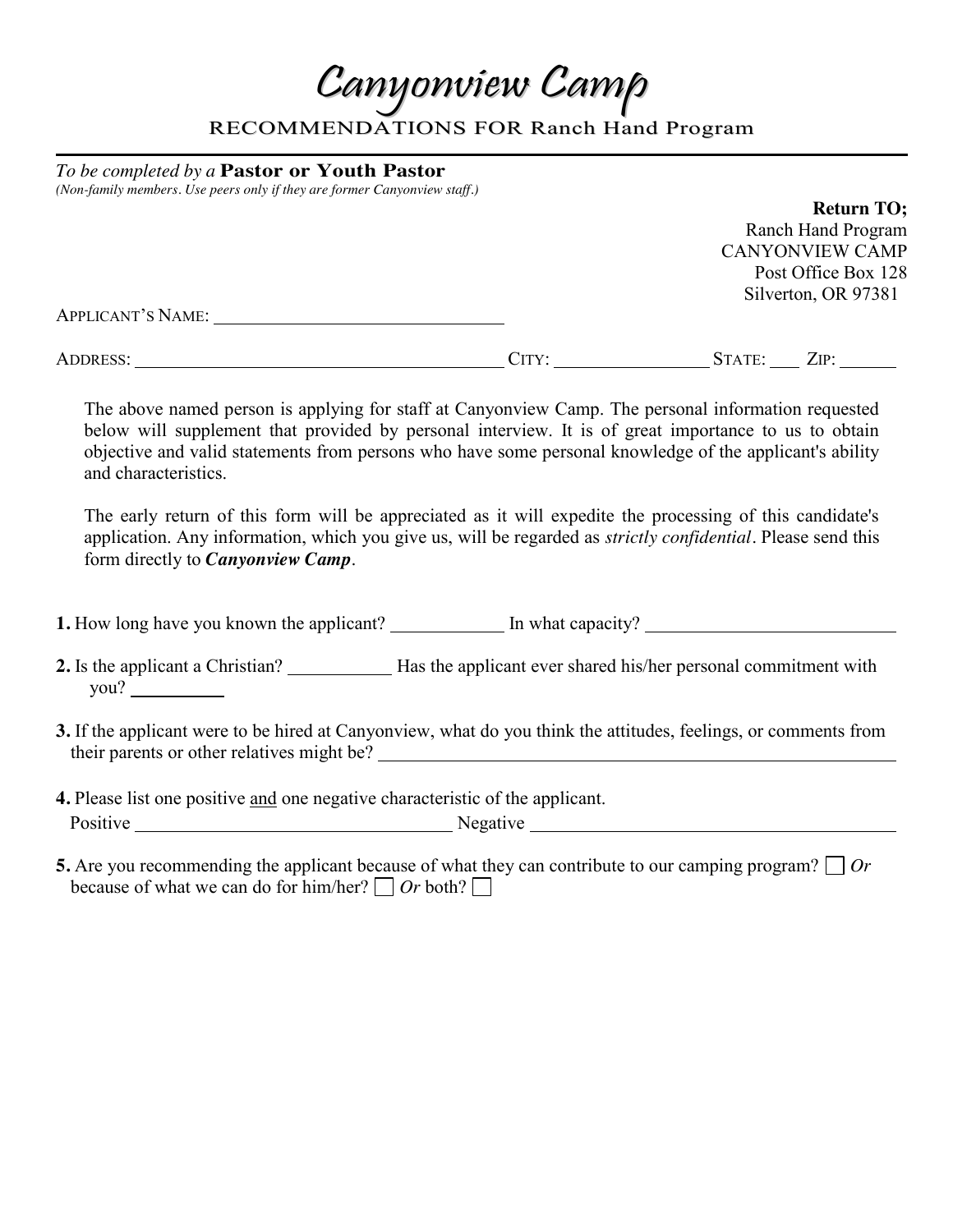Canyonview Camp

RECOMMENDATIONS FOR Ranch Hand Program

*To be completed by a* **Pastor or Youth Pastor** *(Non-family members. Use peers only if they are former Canyonview staff.)*

### **Return TO;** Ranch Hand Program CANYONVIEW CAMP Post Office Box 128 Silverton, OR 97381 APPLICANT'S NAME: ADDRESS: CITY: STATE: ZIP:

The above named person is applying for staff at Canyonview Camp. The personal information requested below will supplement that provided by personal interview. It is of great importance to us to obtain objective and valid statements from persons who have some personal knowledge of the applicant's ability and characteristics.

The early return of this form will be appreciated as it will expedite the processing of this candidate's application. Any information, which you give us, will be regarded as *strictly confidential.* Please send this form directly to *Canyonview Camp.*

**1.** How long have you known the applicant? In what capacity? In what capacity?

- 2. Is the applicant a Christian? Has the applicant ever shared his/her personal commitment with you?
- **3.** If the applicant were to be hired at Canyonview, what do you think the attitudes, feelings, or comments from their parents or other relatives might be?
- **4.** Please list one positive and one negative characteristic of the applicant. Positive Negative Negative Negative Negative Negative Negative Negative Negative Negative Negative Negative Negative Negative Negative Negative Negative Negative Negative Negative Negative Negative Negative Negative Negati
- **5.** Are you recommending the applicant because of what they can contribute to our camping program? *Or* because of what we can do for him/her?  $\Box$  *Or* both?  $\Box$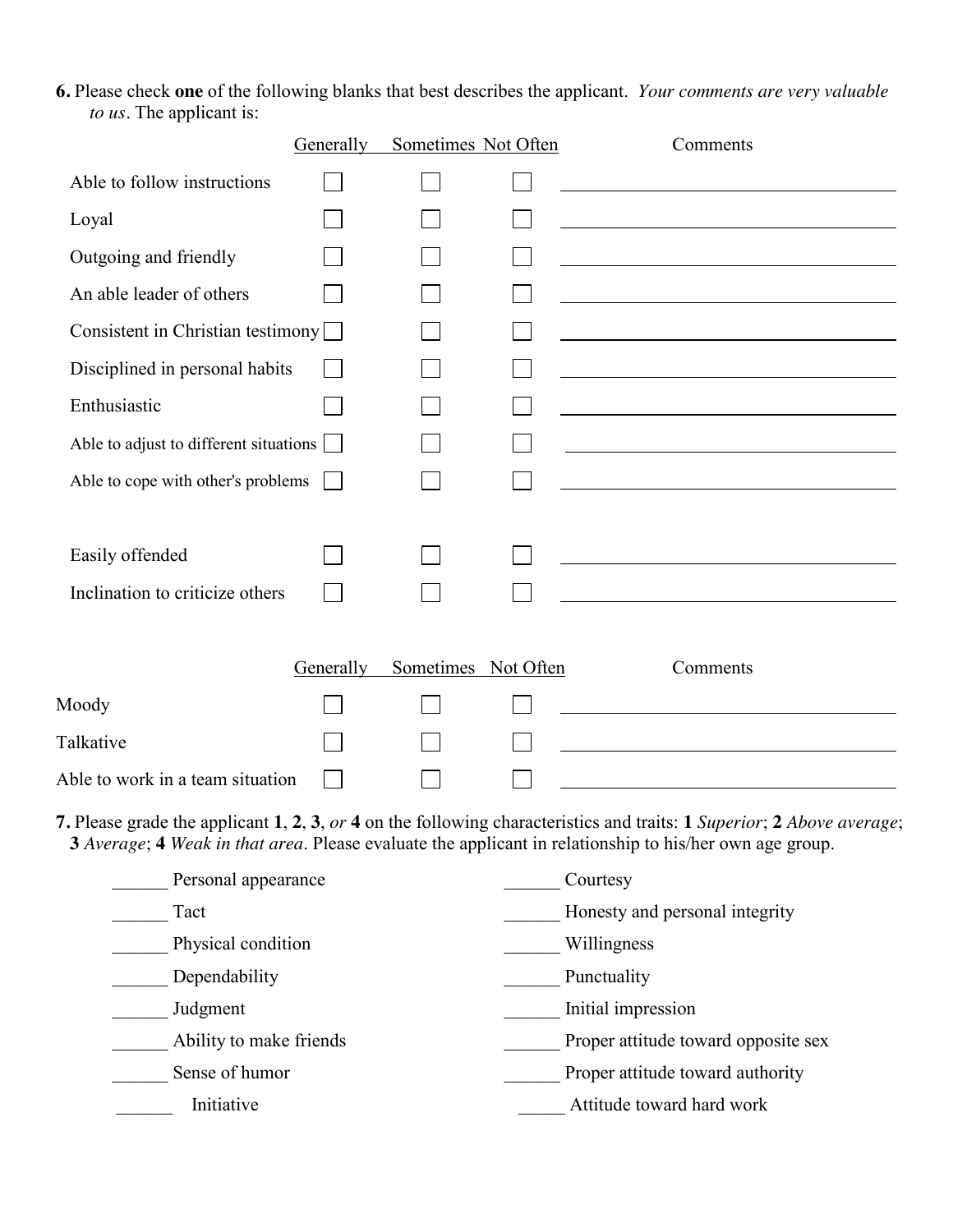**6.** Please check **one** of the following blanks that best describes the applicant. *Your comments are very valuable to us.* The applicant is:

|                                        | Generally | Sometimes Not Often | Comments                                                                                                                                                                                                                         |
|----------------------------------------|-----------|---------------------|----------------------------------------------------------------------------------------------------------------------------------------------------------------------------------------------------------------------------------|
| Able to follow instructions            |           |                     |                                                                                                                                                                                                                                  |
| Loyal                                  |           |                     |                                                                                                                                                                                                                                  |
| Outgoing and friendly                  |           |                     | <u> 1989 - Johann Barn, mars eta bainar eta baina eta baina eta baina eta baina eta baina eta baina eta baina e</u>                                                                                                              |
| An able leader of others               |           |                     |                                                                                                                                                                                                                                  |
| Consistent in Christian testimony      |           |                     |                                                                                                                                                                                                                                  |
| Disciplined in personal habits         |           |                     |                                                                                                                                                                                                                                  |
| Enthusiastic                           |           |                     |                                                                                                                                                                                                                                  |
| Able to adjust to different situations |           |                     |                                                                                                                                                                                                                                  |
| Able to cope with other's problems     |           |                     |                                                                                                                                                                                                                                  |
| Easily offended                        |           |                     |                                                                                                                                                                                                                                  |
| Inclination to criticize others        |           |                     |                                                                                                                                                                                                                                  |
|                                        | Generally | Sometimes Not Often | Comments                                                                                                                                                                                                                         |
| Moody                                  |           |                     |                                                                                                                                                                                                                                  |
| Talkative                              |           |                     |                                                                                                                                                                                                                                  |
| Able to work in a team situation       |           |                     |                                                                                                                                                                                                                                  |
|                                        |           |                     | 7. Please grade the applicant 1, 2, 3, or 4 on the following characteristics and traits: 1 Superior; 2 Above average;<br>3 Average; 4 Weak in that area. Please evaluate the applicant in relationship to his/her own age group. |
| Personal appearance                    |           |                     | Courtesy                                                                                                                                                                                                                         |

| Personal appearance     | Courtesy                            |
|-------------------------|-------------------------------------|
| Tact                    | Honesty and personal integrity      |
| Physical condition      | Willingness                         |
| Dependability           | Punctuality                         |
| Judgment                | Initial impression                  |
| Ability to make friends | Proper attitude toward opposite sex |
| Sense of humor          | Proper attitude toward authority    |
| Initiative              | Attitude toward hard work           |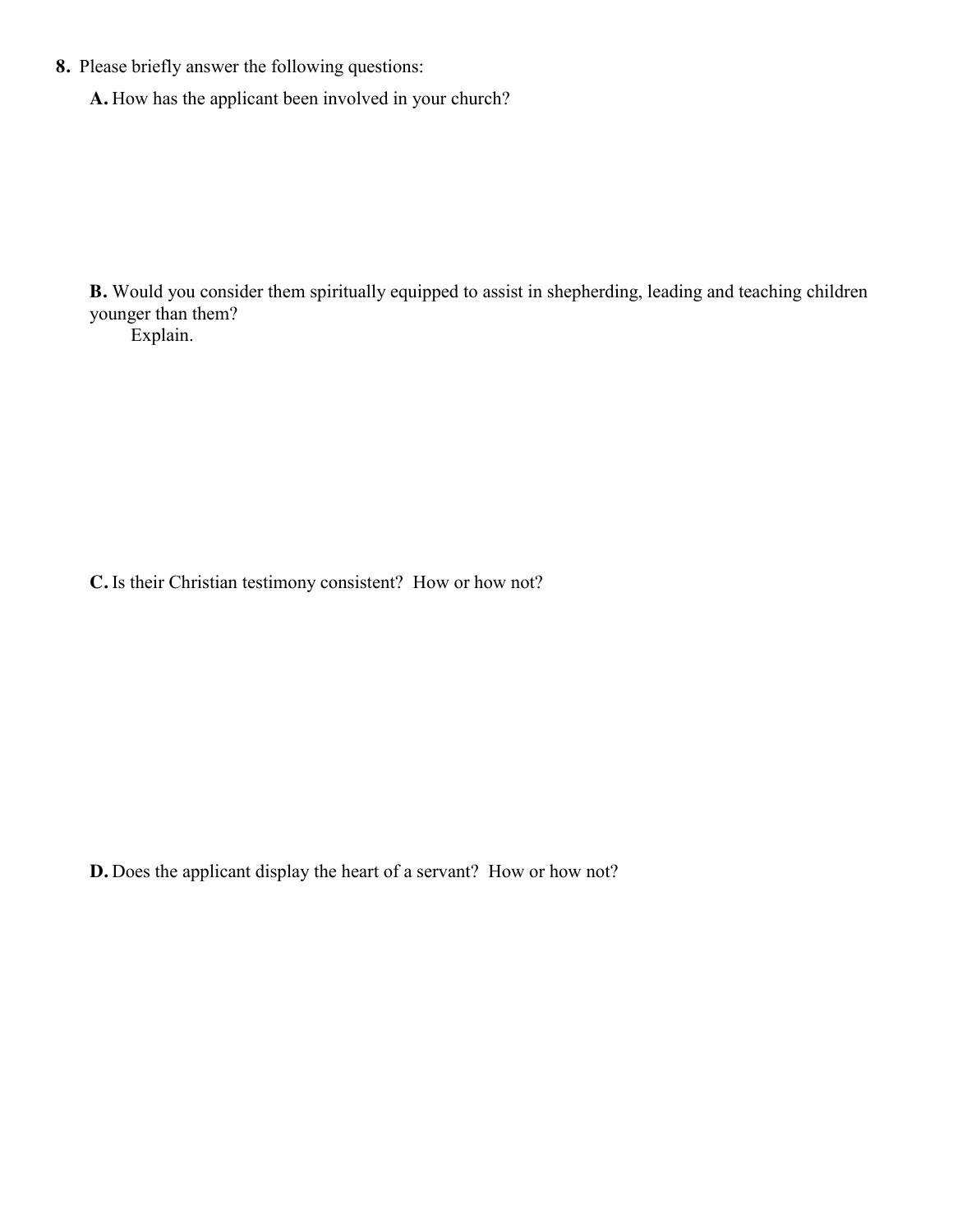- **8.** Please briefly answer the following questions:
	- **A.** How has the applicant been involved in your church?

**B.** Would you consider them spiritually equipped to assist in shepherding, leading and teaching children younger than them?

Explain.

**C.** Is their Christian testimony consistent? How or how not?

**D.** Does the applicant display the heart of a servant? How or how not?